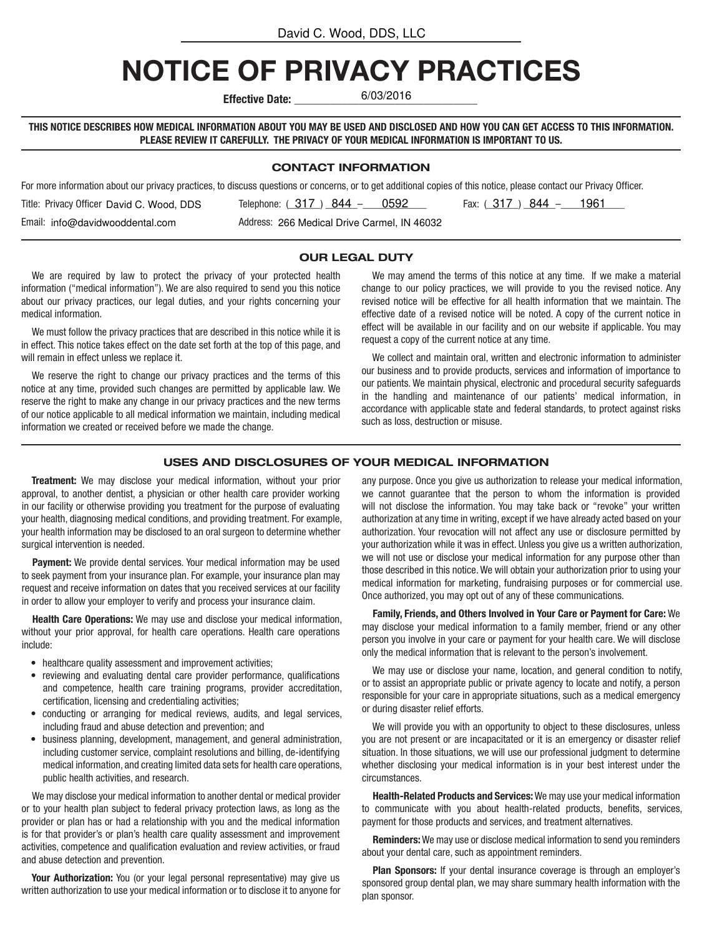# NOTICE OF PRIVACY PRACTICES

Effective Date:

6/03/2016

THIS NOTICE DESCRIBES HOW MEDICAL INFORMATION ABOUT YOU MAY BE USED AND DISCLOSED AND HOW YOU CAN GET ACCESS TO THIS INFORMATION. PLEASE REVIEW IT CAREFULLY. THE PRIVACY OF YOUR MEDICAL INFORMATION IS IMPORTANT TO US.

#### CONTACT INFORMATION

For more information about our privacy practices, to discuss questions or concerns, or to get additional copies of this notice, please contact our Privacy Officer.

| Title: Privacy Officer David C. Wood, DDS | 0592<br>Telephone: $(317) 844 -$            | 1961<br>Fax: (317) 844 - |
|-------------------------------------------|---------------------------------------------|--------------------------|
| Email: info@davidwooddental.com           | Address: 266 Medical Drive Carmel, IN 46032 |                          |

#### OUR LEGAL DUTY

We are required by law to protect the privacy of your protected health information ("medical information"). We are also required to send you this notice about our privacy practices, our legal duties, and your rights concerning your medical information.

We must follow the privacy practices that are described in this notice while it is in effect. This notice takes effect on the date set forth at the top of this page, and will remain in effect unless we replace it.

We reserve the right to change our privacy practices and the terms of this notice at any time, provided such changes are permitted by applicable law. We reserve the right to make any change in our privacy practices and the new terms of our notice applicable to all medical information we maintain, including medical information we created or received before we made the change.

We may amend the terms of this notice at any time. If we make a material change to our policy practices, we will provide to you the revised notice. Any revised notice will be effective for all health information that we maintain. The effective date of a revised notice will be noted. A copy of the current notice in effect will be available in our facility and on our website if applicable. You may request a copy of the current notice at any time.

We collect and maintain oral, written and electronic information to administer our business and to provide products, services and information of importance to our patients. We maintain physical, electronic and procedural security safeguards in the handling and maintenance of our patients' medical information, in accordance with applicable state and federal standards, to protect against risks such as loss, destruction or misuse.

## USES AND DISCLOSURES OF YOUR MEDICAL INFORMATION

Treatment: We may disclose your medical information, without your prior approval, to another dentist, a physician or other health care provider working in our facility or otherwise providing you treatment for the purpose of evaluating your health, diagnosing medical conditions, and providing treatment. For example, your health information may be disclosed to an oral surgeon to determine whether surgical intervention is needed.

**Payment:** We provide dental services. Your medical information may be used to seek payment from your insurance plan. For example, your insurance plan may request and receive information on dates that you received services at our facility in order to allow your employer to verify and process your insurance claim.

Health Care Operations: We may use and disclose your medical information, without your prior approval, for health care operations. Health care operations include:

- healthcare quality assessment and improvement activities;
- reviewing and evaluating dental care provider performance, qualifications and competence, health care training programs, provider accreditation, certification, licensing and credentialing activities;
- conducting or arranging for medical reviews, audits, and legal services, including fraud and abuse detection and prevention; and
- business planning, development, management, and general administration, including customer service, complaint resolutions and billing, de-identifying medical information, and creating limited data sets for health care operations, public health activities, and research.

We may disclose your medical information to another dental or medical provider or to your health plan subject to federal privacy protection laws, as long as the provider or plan has or had a relationship with you and the medical information is for that provider's or plan's health care quality assessment and improvement activities, competence and qualification evaluation and review activities, or fraud and abuse detection and prevention.

Your Authorization: You (or your legal personal representative) may give us written authorization to use your medical information or to disclose it to anyone for

any purpose. Once you give us authorization to release your medical information, we cannot guarantee that the person to whom the information is provided will not disclose the information. You may take back or "revoke" your written authorization at any time in writing, except if we have already acted based on your authorization. Your revocation will not affect any use or disclosure permitted by your authorization while it was in effect. Unless you give us a written authorization, we will not use or disclose your medical information for any purpose other than those described in this notice. We will obtain your authorization prior to using your medical information for marketing, fundraising purposes or for commercial use. Once authorized, you may opt out of any of these communications.

Family, Friends, and Others Involved in Your Care or Payment for Care: We may disclose your medical information to a family member, friend or any other person you involve in your care or payment for your health care. We will disclose only the medical information that is relevant to the person's involvement.

We may use or disclose your name, location, and general condition to notify, or to assist an appropriate public or private agency to locate and notify, a person responsible for your care in appropriate situations, such as a medical emergency or during disaster relief efforts.

We will provide you with an opportunity to object to these disclosures, unless you are not present or are incapacitated or it is an emergency or disaster relief situation. In those situations, we will use our professional judgment to determine whether disclosing your medical information is in your best interest under the circumstances.

Health-Related Products and Services: We may use your medical information to communicate with you about health-related products, benefits, services, payment for those products and services, and treatment alternatives.

Reminders: We may use or disclose medical information to send you reminders about your dental care, such as appointment reminders.

Plan Sponsors: If your dental insurance coverage is through an employer's sponsored group dental plan, we may share summary health information with the plan sponsor.